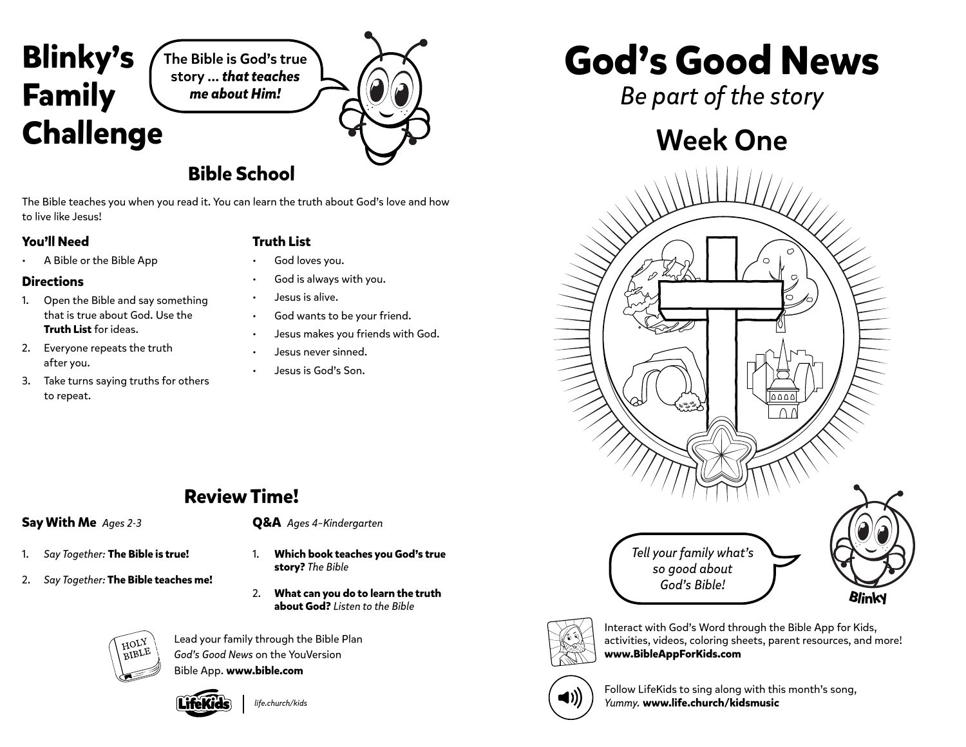

The Bible is God's true story … *that teaches me about Him!*

### **Bible School**

The Bible teaches you when you read it. You can learn the truth about God's love and how to live like Jesus!

#### **You'll Need**

### **Truth List**

- A Bible or the Bible App
- **Directions**
- 1. Open the Bible and say something that is true about God. Use the **Truth List** for ideas.
- 2. Everyone repeats the truth after you.
- 3. Take turns saying truths for others to repeat.
- God loves you.
- God is always with you.
- Jesus is alive.
- God wants to be your friend.
- Jesus makes you friends with God.
- Jesus never sinned.
- Jesus is God's Son.

# **God's Good News**

*Be part of the story*

## Week One





Interact with God's Word through the Bible App for Kids, activities, videos, coloring sheets, parent resources, and more! **www.BibleAppForKids.com**



Follow LifeKids to sing along with this month's song, *Yummy.* **www.life.church/kidsmusic**

### **Review Time!**

### **Say With Me** *Ages 2-3*

- 1. *Say Together:* **The Bible is true!**
- 2. *Say Together:* **The Bible teaches me!**



- 1. **Which book teaches you God's true story?** *The Bible*
- 2. **What can you do to learn the truth about God?** *Listen to the Bible*



Lead your family through the Bible Plan *God's Good News* on the YouVersion Bible App. **www.bible.com**



*life.church/kids*

- 
-